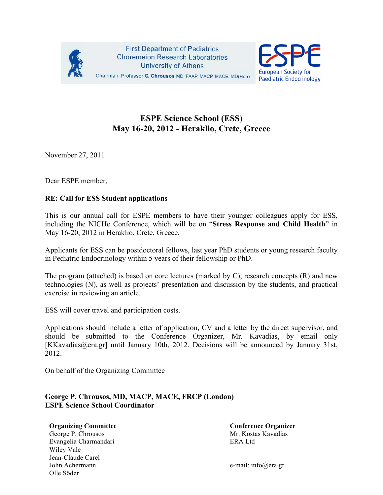



## **ESPE Science School (ESS) May 16-20, 2012 - Heraklio, Crete, Greece**

November 27, 2011

Dear ESPE member,

## **RE: Call for ESS Student applications**

This is our annual call for ESPE members to have their younger colleagues apply for ESS, including the NICHe Conference, which will be on "**Stress Response and Child Health**" in May 16-20, 2012 in Heraklio, Crete, Greece.

Applicants for ESS can be postdoctoral fellows, last year PhD students or young research faculty in Pediatric Endocrinology within 5 years of their fellowship or PhD.

The program (attached) is based on core lectures (marked by C), research concepts (R) and new technologies (N), as well as projects' presentation and discussion by the students, and practical exercise in reviewing an article.

ESS will cover travel and participation costs.

Applications should include a letter of application, CV and a letter by the direct supervisor, and should be submitted to the Conference Organizer, Mr. Kavadias, by email only [KKavadias@era.gr] until January 10th, 2012. Decisions will be announced by January 31st, 2012.

On behalf of the Organizing Committee

## **George P. Chrousos, MD, MACP, MACE, FRCP (London) ESPE Science School Coordinator**

## **Organizing Committee Conference Organizer**

George P. Chrousos Mr. Kostas Kavadias Evangelia Charmandari ERA Ltd Wiley Vale Jean-Claude Carel John Achermann e-mail: info@era.gr Olle Söder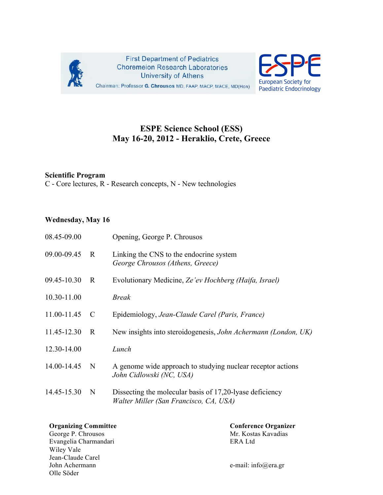

**First Department of Pediatrics Choremeion Research Laboratories University of Athens** Chairman: Professor G. Chrousos MD, FAAP, MACP, MACE, MD(Hon)



## **ESPE Science School (ESS) May 16-20, 2012 - Heraklio, Crete, Greece**

## **Scientific Program**

C - Core lectures, R - Research concepts, N - New technologies

## **Wednesday, May 16**

| 08.45-09.00 |              | Opening, George P. Chrousos                                                                        |
|-------------|--------------|----------------------------------------------------------------------------------------------------|
| 09.00-09.45 | $\mathbf R$  | Linking the CNS to the endocrine system<br>George Chrousos (Athens, Greece)                        |
| 09.45-10.30 | R            | Evolutionary Medicine, Ze'ev Hochberg (Haifa, Israel)                                              |
| 10.30-11.00 |              | <b>Break</b>                                                                                       |
| 11.00-11.45 | C            | Epidemiology, Jean-Claude Carel (Paris, France)                                                    |
| 11.45-12.30 | $\mathbf{R}$ | New insights into steroidogenesis, John Achermann (London, UK)                                     |
| 12.30-14.00 |              | Lunch                                                                                              |
| 14.00-14.45 | N            | A genome wide approach to studying nuclear receptor actions<br>John Cidlowski (NC, USA)            |
| 14.45-15.30 | N            | Dissecting the molecular basis of 17,20-lyase deficiency<br>Walter Miller (San Francisco, CA, USA) |

George P. Chrousos Evangelia Charmandari ERA Ltd Wiley Vale Jean-Claude Carel John Achermann e-mail: info@era.gr Olle Söder

**Organizing Committee Conference Organizer Conference Organizer**<br>
George P. Chrousos Mr. Kostas Kavadias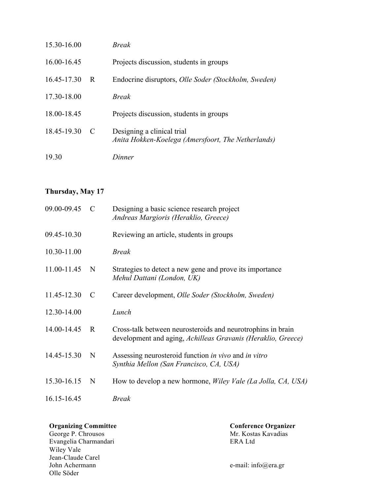| 15.30-16.00 |   | <b>Break</b>                                                                     |
|-------------|---|----------------------------------------------------------------------------------|
| 16.00-16.45 |   | Projects discussion, students in groups                                          |
| 16.45-17.30 | R | Endocrine disruptors, Olle Soder (Stockholm, Sweden)                             |
| 17.30-18.00 |   | <b>Break</b>                                                                     |
| 18.00-18.45 |   | Projects discussion, students in groups                                          |
| 18.45-19.30 | C | Designing a clinical trial<br>Anita Hokken-Koelega (Amersfoort, The Netherlands) |
| 19.30       |   | Dinner                                                                           |

## **Thursday, May 17**

| 09.00-09.45 | $\mathcal{C}_{\mathcal{C}}$ | Designing a basic science research project<br>Andreas Margioris (Heraklio, Greece)                                          |  |
|-------------|-----------------------------|-----------------------------------------------------------------------------------------------------------------------------|--|
| 09.45-10.30 |                             | Reviewing an article, students in groups                                                                                    |  |
| 10.30-11.00 |                             | <b>Break</b>                                                                                                                |  |
| 11.00-11.45 | N                           | Strategies to detect a new gene and prove its importance<br>Mehul Dattani (London, UK)                                      |  |
| 11.45-12.30 | C                           | Career development, Olle Soder (Stockholm, Sweden)                                                                          |  |
| 12.30-14.00 |                             | Lunch                                                                                                                       |  |
| 14.00-14.45 | R                           | Cross-talk between neurosteroids and neurotrophins in brain<br>development and aging, Achilleas Gravanis (Heraklio, Greece) |  |
| 14.45-15.30 | N                           | Assessing neurosteroid function in vivo and in vitro<br>Synthia Mellon (San Francisco, CA, USA)                             |  |
| 15.30-16.15 | N                           | How to develop a new hormone, <i>Wiley Vale (La Jolla, CA, USA)</i>                                                         |  |
| 16.15-16.45 |                             | <b>Break</b>                                                                                                                |  |

## **Organizing Committee**  The Conference Organizer

George P. Chrousos **Mr. Kostas Kavadias** Evangelia Charmandari ERA Ltd Wiley Vale Jean-Claude Carel<br>John Achermann Olle Söder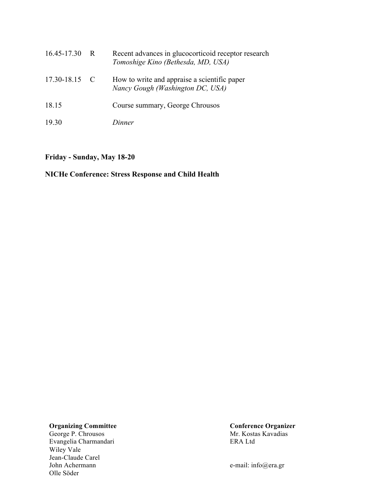| 16.45-17.30 | $\mathbb{R}$ | Recent advances in glucocorticoid receptor research<br>Tomoshige Kino (Bethesda, MD, USA) |
|-------------|--------------|-------------------------------------------------------------------------------------------|
| 17.30-18.15 | $\mathbf{C}$ | How to write and appraise a scientific paper<br>Nancy Gough (Washington DC, USA)          |
| 18.15       |              | Course summary, George Chrousos                                                           |
| 19.30       |              | Dinner                                                                                    |

## **Friday - Sunday, May 18-20**

## **NICHe Conference: Stress Response and Child Health**

# **Organizing Committee Conference Organizer**<br>
George P. Chrousos **Conference Organizer**<br>
Mr. Kostas Kavadias

George P. Chrousos Mr. Kosta<br>Evangelia Charmandari ERA Ltd Evangelia Charmandari Wiley Vale Jean-Claude Carel<br>John Achermann Olle Söder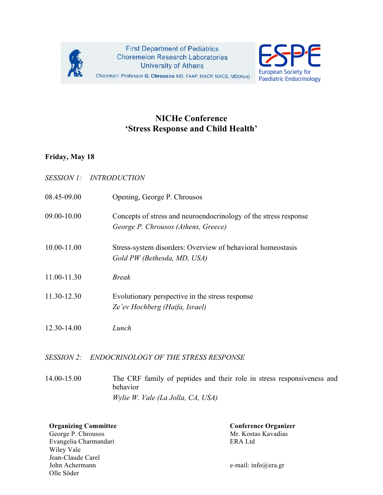



## **NICHe Conference 'Stress Response and Child Health'**

## **Friday, May 18**

|                   | SESSION 1: INTRODUCTION                                                                                 |
|-------------------|---------------------------------------------------------------------------------------------------------|
| 08.45-09.00       | Opening, George P. Chrousos                                                                             |
| 09.00-10.00       | Concepts of stress and neuroendocrinology of the stress response<br>George P. Chrousos (Athens, Greece) |
| 10.00-11.00       | Stress-system disorders: Overview of behavioral homeostasis<br>Gold PW (Bethesda, MD, USA)              |
| 11.00-11.30       | <b>Break</b>                                                                                            |
| 11.30-12.30       | Evolutionary perspective in the stress response<br>Ze'ev Hochberg (Haifa, Israel)                       |
| 12.30-14.00       | Lunch                                                                                                   |
| <i>SESSION 2:</i> | <b>ENDOCRINOLOGY OF THE STRESS RESPONSE</b>                                                             |

14.00-15.00 The CRF family of peptides and their role in stress responsiveness and behavior *Wylie W. Vale (La Jolla, CA, USA)*

**Organizing Committee Conference Organizer**<br>
George P. Chrousos Mr. Kostas Kavadias

George P. Chrousos Evangelia Charmandari ERA Ltd Wiley Vale Jean-Claude Carel John Achermann e-mail: info@era.gr Olle Söder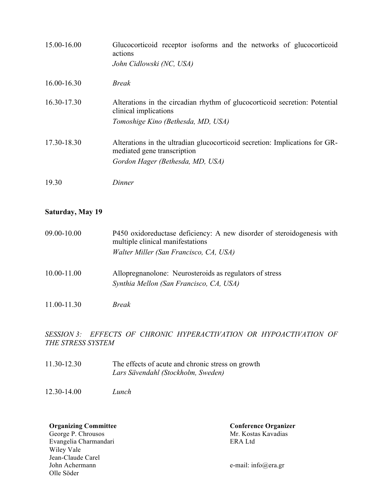| 15.00-16.00 | Glucocorticoid receptor isoforms and the networks of glucocorticoid<br>actions<br>John Cidlowski (NC, USA)                                     |
|-------------|------------------------------------------------------------------------------------------------------------------------------------------------|
| 16.00-16.30 | <i>Break</i>                                                                                                                                   |
| 16.30-17.30 | Alterations in the circadian rhythm of glucocorticoid secretion: Potential<br>clinical implications<br>Tomoshige Kino (Bethesda, MD, USA)      |
| 17.30-18.30 | Alterations in the ultradian glucocorticoid secretion: Implications for GR-<br>mediated gene transcription<br>Gordon Hager (Bethesda, MD, USA) |
| 19.30       | Dinner                                                                                                                                         |

## **Saturday, May 19**

| 09.00-10.00 | P450 oxidoreductase deficiency: A new disorder of steroidogenesis with<br>multiple clinical manifestations |
|-------------|------------------------------------------------------------------------------------------------------------|
|             | Walter Miller (San Francisco, CA, USA)                                                                     |
| 10.00-11.00 | Allopregnanolone: Neurosteroids as regulators of stress<br>Synthia Mellon (San Francisco, CA, USA)         |
| 11.00-11.30 | Break                                                                                                      |

*SESSION 3: EFFECTS OF CHRONIC HYPERACTIVATION OR HYPOACTIVATION OF THE STRESS SYSTEM*

- 11.30-12.30 The effects of acute and chronic stress on growth *Lars Sävendahl (Stockholm, Sweden)*
- 12.30-14.00 *Lunch*

George P. Chrousos Mr. Kosta<br>Evangelia Charmandari ERA Ltd Evangelia Charmandari Wiley Vale Jean-Claude Carel<br>John Achermann Olle Söder

**Organizing Committee Conference Organizer Conference Organizer**<br>
George P. Chrousos Mr. Kostas Kavadias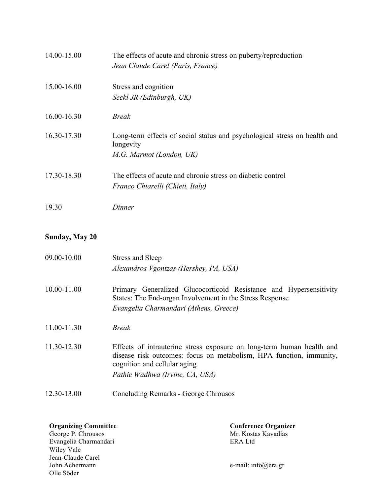| 14.00-15.00     | The effects of acute and chronic stress on puberty/reproduction<br>Jean Claude Carel (Paris, France)               |
|-----------------|--------------------------------------------------------------------------------------------------------------------|
| 15.00-16.00     | Stress and cognition<br>Seckl JR (Edinburgh, UK)                                                                   |
| $16.00 - 16.30$ | <b>Break</b>                                                                                                       |
| 16.30-17.30     | Long-term effects of social status and psychological stress on health and<br>longevity<br>M.G. Marmot (London, UK) |
| 17.30-18.30     | The effects of acute and chronic stress on diabetic control<br>Franco Chiarelli (Chieti, Italy)                    |
| 19.30           | Dinner                                                                                                             |

**Sunday, May 20**

| 09.00-10.00 | Stress and Sleep<br>Alexandros Vgontzas (Hershey, PA, USA)                                                                                                                                                      |
|-------------|-----------------------------------------------------------------------------------------------------------------------------------------------------------------------------------------------------------------|
| 10.00-11.00 | Primary Generalized Glucocorticoid Resistance and Hypersensitivity<br>States: The End-organ Involvement in the Stress Response<br>Evangelia Charmandari (Athens, Greece)                                        |
| 11.00-11.30 | <i>Break</i>                                                                                                                                                                                                    |
| 11.30-12.30 | Effects of intrauterine stress exposure on long-term human health and<br>disease risk outcomes: focus on metabolism, HPA function, immunity,<br>cognition and cellular aging<br>Pathic Wadhwa (Irvine, CA, USA) |
| 12.30-13.00 | Concluding Remarks - George Chrousos                                                                                                                                                                            |

**Organizing Committee Conference Organizer**<br>
George P. Chrousos **Conference Organizer**<br>
Mr. Kostas Kavadias

George P. Chrousos Mr. Kosta<br>Evangelia Charmandari ERA Ltd Evangelia Charmandari Wiley Vale Jean-Claude Carel<br>John Achermann Olle Söder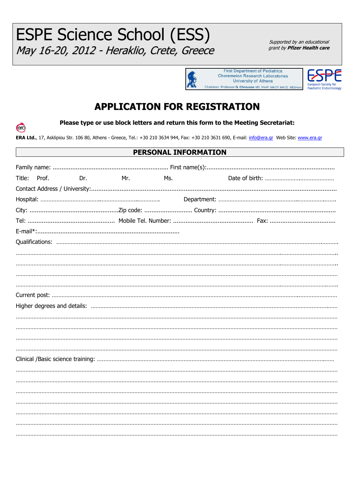**ESPE Science School (ESS)** May 16-20, 2012 - Heraklio, Crete, Greece

Supported by an educational grant by **Pfizer Health care** 





## **APPLICATION FOR REGISTRATION**

era

Please type or use block letters and return this form to the Meeting Secretariat:

ERA Ltd., 17, Asklipiou Str. 106 80, Athens - Greece, Tel.: +30 210 3634 944, Fax: +30 210 3631 690, E-mail: info@era.gr Web Site: www.era.gr

## PERSONAL INFORMATION

| Title: | Prof. | Dr. | Mr. Andrew Mr. | Ms. |  |
|--------|-------|-----|----------------|-----|--|
|        |       |     |                |     |  |
|        |       |     |                |     |  |
|        |       |     |                |     |  |
|        |       |     |                |     |  |
|        |       |     |                |     |  |
|        |       |     |                |     |  |
|        |       |     |                |     |  |
|        |       |     |                |     |  |
|        |       |     |                |     |  |
|        |       |     |                |     |  |
|        |       |     |                |     |  |
|        |       |     |                |     |  |
|        |       |     |                |     |  |
|        |       |     |                |     |  |
|        |       |     |                |     |  |
|        |       |     |                |     |  |
|        |       |     |                |     |  |
|        |       |     |                |     |  |
|        |       |     |                |     |  |
|        |       |     |                |     |  |
|        |       |     |                |     |  |
|        |       |     |                |     |  |
|        |       |     |                |     |  |
|        |       |     |                |     |  |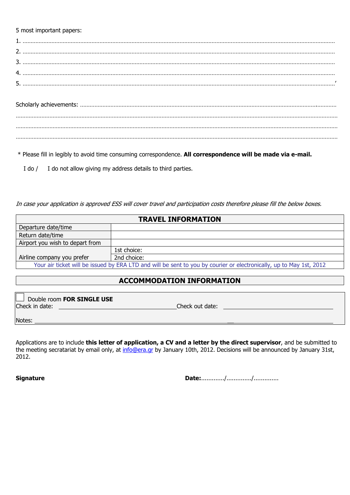## 5 most important papers:

…………………………………………………………………………………………………………………………………………………………………………………

\* Please fill in legibly to avoid time consuming correspondence. **All correspondence will be made via e-mail.** 

I do / I do not allow giving my address details to third parties.

In case your application is approved ESS will cover travel and participation costs therefore please fill the below boxes.

| <b>TRAVEL INFORMATION</b>                                                                                           |             |  |  |
|---------------------------------------------------------------------------------------------------------------------|-------------|--|--|
| Departure date/time                                                                                                 |             |  |  |
| Return date/time                                                                                                    |             |  |  |
| Airport you wish to depart from                                                                                     |             |  |  |
|                                                                                                                     | 1st choice: |  |  |
| Airline company you prefer                                                                                          | 2nd choice: |  |  |
| Your air ticket will be issued by ERA LTD and will be sent to you by courier or electronically, up to May 1st, 2012 |             |  |  |

## **ACCOMMODATION INFORMATION**

| Double room FOR SINGLE USE |                 |
|----------------------------|-----------------|
| Check in date:             | Check out date: |
| Notes:                     |                 |

Applications are to include **this letter of application, a CV and a letter by the direct supervisor**, and be submitted to the meeting secratariat by email only, at [info@era.gr](mailto:info@era.gr) by January 10th, 2012. Decisions will be announced by January 31st, 2012.

**Signature Date:**............./............../..............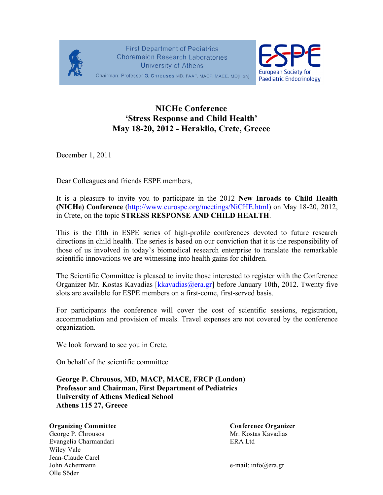

**First Department of Pediatrics Choremeion Research Laboratories University of Athens** 



Chairman: Professor G. Chrousos MD, FAAP, MACP, MACE, MD(Hon)

## **NICHe Conference 'Stress Response and Child Health' May 18-20, 2012 - Heraklio, Crete, Greece**

December 1, 2011

Dear Colleagues and friends ESPE members,

It is a pleasure to invite you to participate in the 2012 **New Inroads to Child Health (NICHe) Conference** (http://www.eurospe.org/meetings/NiCHE.html) on May 18-20, 2012, in Crete, on the topic **STRESS RESPONSE AND CHILD HEALTH**.

This is the fifth in ESPE series of high-profile conferences devoted to future research directions in child health. The series is based on our conviction that it is the responsibility of those of us involved in today's biomedical research enterprise to translate the remarkable scientific innovations we are witnessing into health gains for children.

The Scientific Committee is pleased to invite those interested to register with the Conference Organizer Mr. Kostas Kavadias [kkavadias@era.gr] before January 10th, 2012. Twenty five slots are available for ESPE members on a first-come, first-served basis.

For participants the conference will cover the cost of scientific sessions, registration, accommodation and provision of meals. Travel expenses are not covered by the conference organization.

We look forward to see you in Crete.

On behalf of the scientific committee

**George P. Chrousos, MD, MACP, MACE, FRCP (London) Professor and Chairman, First Department of Pediatrics University of Athens Medical School Athens 115 27, Greece**

## **Organizing Committee Conference Organizer Conference Organizer**

George P. Chrousos **Mr. Kostas Kavadias** Evangelia Charmandari ERA Ltd Wiley Vale Jean-Claude Carel John Achermann e-mail: info@era.gr Olle Söder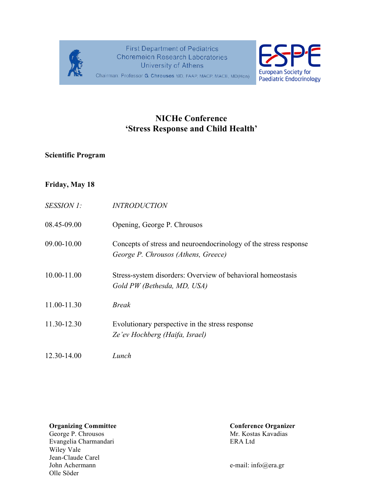

**First Department of Pediatrics Choremeion Research Laboratories University of Athens** 



Chairman: Professor G. Chrousos MD, FAAP, MACP, MACE, MD(Hon)

## **NICHe Conference 'Stress Response and Child Health'**

## **Scientific Program**

## **Friday, May 18**

| <i>SESSION 1:</i> | <i><b>INTRODUCTION</b></i>                                                                              |
|-------------------|---------------------------------------------------------------------------------------------------------|
| 08.45-09.00       | Opening, George P. Chrousos                                                                             |
| 09.00-10.00       | Concepts of stress and neuroendocrinology of the stress response<br>George P. Chrousos (Athens, Greece) |
| 10.00-11.00       | Stress-system disorders: Overview of behavioral homeostasis<br>Gold PW (Bethesda, MD, USA)              |
| 11.00-11.30       | <b>Break</b>                                                                                            |
| 11.30-12.30       | Evolutionary perspective in the stress response<br>Ze'ev Hochberg (Haifa, Israel)                       |
| 12.30-14.00       | Lunch                                                                                                   |

George P. Chrousos Mr. Kosta<br>Evangelia Charmandari Rangelia Kavadias ERA Ltd Evangelia Charmandari Wiley Vale Jean-Claude Carel<br>John Achermann Olle Söder

**Organizing Committee Conference Organizer**<br>
George P. Chrousos Mr. Kostas Kavadias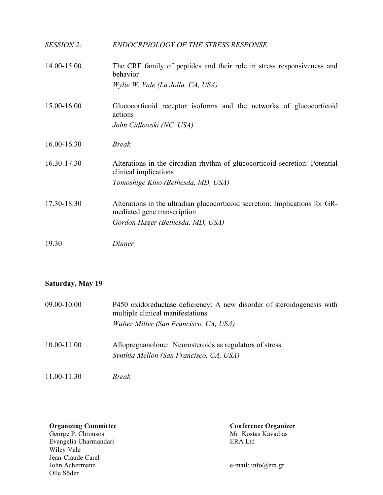| SESSION 2:  | <b>ENDOCRINOLOGY OF THE STRESS RESPONSE</b>                                                                |
|-------------|------------------------------------------------------------------------------------------------------------|
| 14.00-15.00 | The CRF family of peptides and their role in stress responsiveness and<br>behavior                         |
|             | Wylie W. Vale (La Jolla, CA, USA)                                                                          |
| 15.00-16.00 | Glucocorticoid receptor isoforms and the networks of glucocorticoid<br>actions                             |
|             | John Cidlowski (NC, USA)                                                                                   |
| 16.00-16.30 | <b>Break</b>                                                                                               |
| 16.30-17.30 | Alterations in the circadian rhythm of glucocorticoid secretion: Potential<br>clinical implications        |
|             | Tomoshige Kino (Bethesda, MD, USA)                                                                         |
| 17.30-18.30 | Alterations in the ultradian glucocorticoid secretion: Implications for GR-<br>mediated gene transcription |
|             | Gordon Hager (Bethesda, MD, USA)                                                                           |
| 19.30       | Dinner                                                                                                     |

## **Saturday, May 19**

| 09.00-10.00 | P450 oxidoreductase deficiency: A new disorder of steroidogenesis with<br>multiple clinical manifestations<br>Walter Miller (San Francisco, CA, USA) |
|-------------|------------------------------------------------------------------------------------------------------------------------------------------------------|
| 10.00-11.00 | Allopregnanolone: Neurosteroids as regulators of stress<br>Synthia Mellon (San Francisco, CA, USA)                                                   |

11.00-11.30 *Break* 

George P. Chrousos Mr. Kosta<br>Evangelia Charmandari ERA Ltd Evangelia Charmandari ERA Ltd Wiley Vale Jean-Claude Carel<br>John Achermann Olle Söder

**Organizing Committee Conference Organizer**<br>
George P. Chrousos **Conference Organizer**<br>
Mr. Kostas Kavadias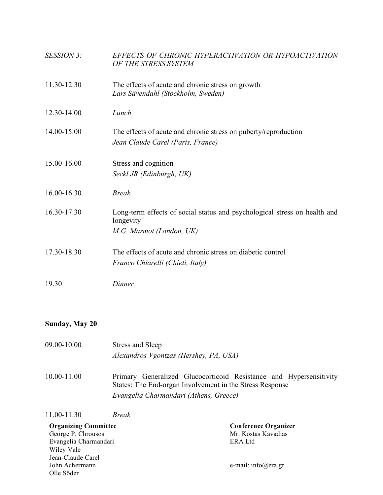| SESSION 3:  | EFFECTS OF CHRONIC HYPERACTIVATION OR HYPOACTIVATION<br>OF THE STRESS SYSTEM                                       |
|-------------|--------------------------------------------------------------------------------------------------------------------|
| 11.30-12.30 | The effects of acute and chronic stress on growth<br>Lars Sävendahl (Stockholm, Sweden)                            |
| 12.30-14.00 | Lunch                                                                                                              |
| 14.00-15.00 | The effects of acute and chronic stress on puberty/reproduction<br>Jean Claude Carel (Paris, France)               |
| 15.00-16.00 | Stress and cognition<br>Seckl JR (Edinburgh, UK)                                                                   |
| 16.00-16.30 | <b>Break</b>                                                                                                       |
| 16.30-17.30 | Long-term effects of social status and psychological stress on health and<br>longevity<br>M.G. Marmot (London, UK) |
| 17.30-18.30 | The effects of acute and chronic stress on diabetic control<br>Franco Chiarelli (Chieti, Italy)                    |
| 19.30       | Dinner                                                                                                             |

## **Sunday, May 20**

- 09.00-10.00 Stress and Sleep *Alexandros Vgontzas (Hershey, PA, USA)*
- 10.00-11.00 Primary Generalized Glucocorticoid Resistance and Hypersensitivity States: The End-organ Involvement in the Stress Response *Evangelia Charmandari (Athens, Greece)*

11.00-11.30 *Break* 

| <b>Organizing Committee</b> | <b>Conference Organizer</b> |
|-----------------------------|-----------------------------|
| George P. Chrousos          | Mr. Kostas Kavadias         |
| Evangelia Charmandari       | ERA Ltd                     |
| Wiley Vale                  |                             |
| Jean-Claude Carel           |                             |
| John Achermann              | e-mail: info@era.gr         |
| Olle Söder                  |                             |